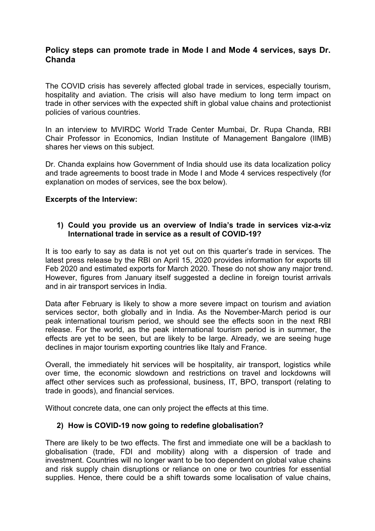## **Policy steps can promote trade in Mode I and Mode 4 services, says Dr. Chanda**

The COVID crisis has severely affected global trade in services, especially tourism, hospitality and aviation. The crisis will also have medium to long term impact on trade in other services with the expected shift in global value chains and protectionist policies of various countries.

In an interview to MVIRDC World Trade Center Mumbai, Dr. Rupa Chanda, RBI Chair Professor in Economics, Indian Institute of Management Bangalore (IIMB) shares her views on this subject.

Dr. Chanda explains how Government of India should use its data localization policy and trade agreements to boost trade in Mode I and Mode 4 services respectively (for explanation on modes of services, see the box below).

#### **Excerpts of the Interview:**

#### **1) Could you provide us an overview of India's trade in services viz-a-viz International trade in service as a result ofCOVID-19?**

It is too early to say as data is not yet out on this quarter's trade in services. The latest press release by the RBI on April 15, 2020 provides information for exports till Feb 2020 and estimated exports for March 2020. These do not show any major trend. However, figures from January itself suggested a decline in foreign tourist arrivals and in air transport services in India.

Data after February is likely to show a more severe impact on tourism and aviation services sector, both globally and in India. As the November-March period is our peak international tourism period, we should see the effects soon in the next RBI release. For the world, as the peak international tourism period is in summer, the effects are yet to be seen, but are likely to be large. Already, we are seeing huge declines in major tourism exporting countries like Italy and France.

Overall, the immediately hit services will be hospitality, air transport, logistics while over time, the economic slowdown and restrictions on travel and lockdowns will affect other services such as professional, business, IT, BPO, transport (relating to trade in goods), and financial services.

Without concrete data, one can only project the effects at this time.

#### **2) How is COVID-19 now going to redefine globalisation?**

There are likely to be two effects. The first and immediate one will be a backlash to globalisation (trade, FDI and mobility) along with a dispersion of trade and investment. Countries will no longer want to be too dependent on global value chains and risk supply chain disruptions or reliance on one or two countries for essential supplies. Hence, there could be a shift towards some localisation of value chains,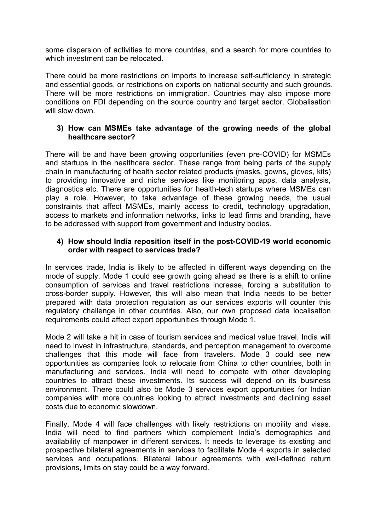some dispersion of activities to more countries, and a search for more countries to which investment can be relocated.

There could be more restrictions on imports to increase self-sufficiency in strategic and essential goods, or restrictions on exports on national security and such grounds. There will be more restrictions on immigration. Countries may also impose more conditions on FDI depending on the source country and target sector. Globalisation will slow down.

#### **3) How can MSMEs take advantage of the growing needs of the global healthcare sector?**

There will be and have been growing opportunities (even pre-COVID) for MSMEs and startups in the healthcare sector. These range from being parts of the supply chain in manufacturing of health sector related products (masks, gowns, gloves, kits) to providing innovative and niche services like monitoring apps, data analysis, diagnostics etc. There are opportunities for health-tech startups where MSMEs can play a role. However, to take advantage of these growing needs, the usual constraints that affect MSMEs, mainly access to credit, technology upgradation, access to markets and information networks, links to lead firms and branding, have to be addressed with support from government and industry bodies.

#### **4) How should India reposition itself in the post-COVID-19 world economic order with respect to services trade?**

In services trade, India is likely to be affected in different ways depending on the mode of supply. Mode 1 could see growth going ahead as there is a shift to online consumption of services and travel restrictions increase, forcing a substitution to cross-border supply. However, this will also mean that India needs to be better prepared with data protection regulation as our services exports will counter this regulatory challenge in other countries. Also, our own proposed data localisation requirements could affect export opportunities through Mode 1.

Mode 2 will take a hit in case of tourism services and medical value travel. India will need to invest in infrastructure, standards, and perception management to overcome challenges that this mode will face from travelers. Mode 3 could see new opportunities as companies look to relocate from China to other countries, both in manufacturing and services. India will need to compete with other developing countries to attract these investments. Its success will depend on its business environment. There could also be Mode 3 services export opportunities for Indian companies with more countries looking to attract investments and declining asset costs due to economic slowdown.

Finally, Mode 4 will face challenges with likely restrictions on mobility and visas. India will need to find partners which complement India's demographics and availability of manpower in different services. It needs to leverage its existing and prospective bilateral agreements in services to facilitate Mode 4 exports in selected services and occupations. Bilateral labour agreements with well-defined return provisions, limits on stay could be a way forward.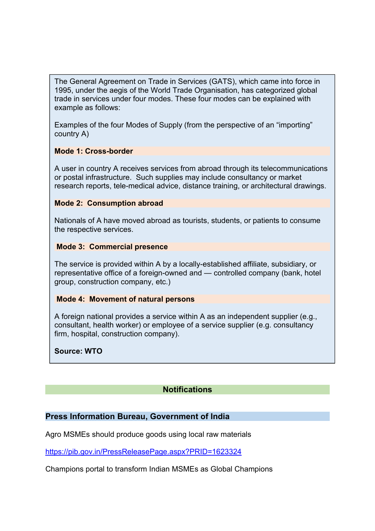The General Agreement on Trade in Services (GATS), which came into force in 1995, under the aegis of the World Trade Organisation, has categorized global trade in services under four modes. These four modes can be explained with example as follows:

Examples of the four Modes of Supply (from the perspective of an "importing" country A)

## **Mode 1: Cross-border**

A user in country A receives services from abroad through its telecommunications or postal infrastructure. Such supplies may include consultancy or market research reports, tele-medical advice, distance training, or architectural drawings.

## **Mode 2: Consumption abroad**

Nationals of A have moved abroad as tourists, students, or patients to consume the respective services.

## **Mode 3: Commercial presence**

The service is provided within A by a locally-established affiliate, subsidiary, or representative office of a foreign-owned and — controlled company (bank, hotel group, construction company, etc.)

## **Mode 4: Movement of natural persons**

A foreign national provides a service within A as an independent supplier (e.g., consultant, health worker) or employee of a service supplier (e.g. consultancy firm, hospital, construction company).

## **Source: WTO**

# **Notifications**

## **Press Information Bureau, Government of India**

Agro MSMEs should produce goods using local raw materials

<https://pib.gov.in/PressReleasePage.aspx?PRID=1623324>

Champions portal to transform Indian MSMEs as Global Champions